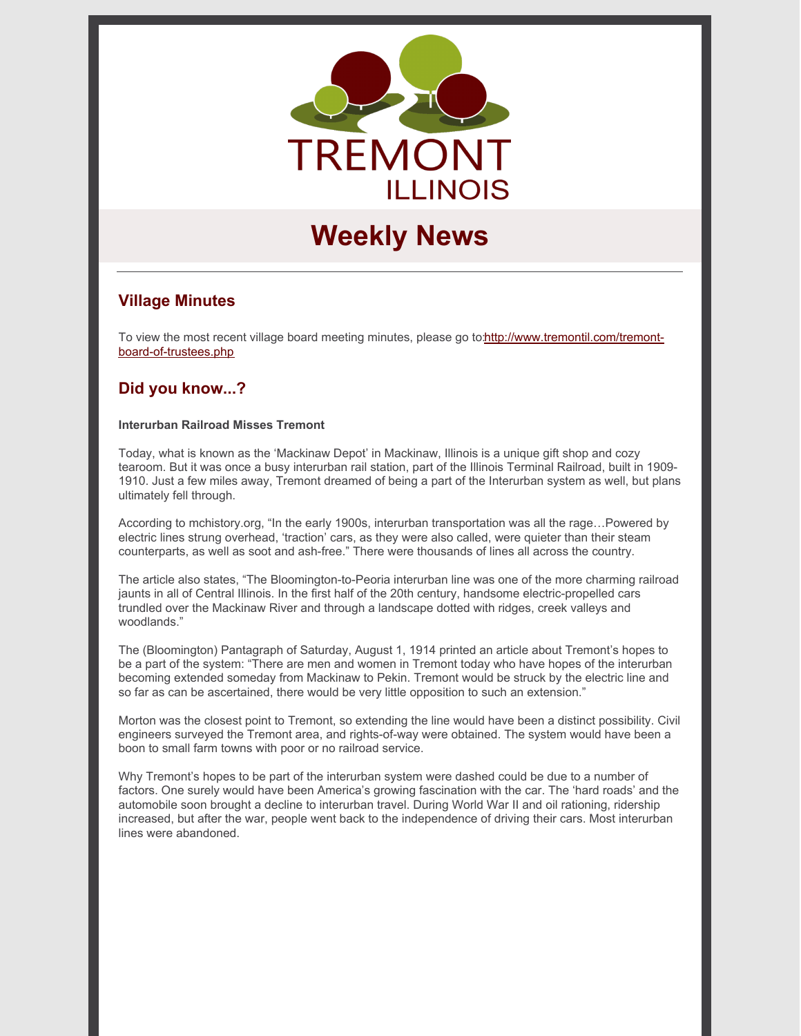

# **Weekly News**

# **Village Minutes**

To view the most recent village board meeting minutes, please go [to:http://www.tremontil.com/tremont](http://www.tremontil.com/tremont-board-of-trustees.php)board-of-trustees.php

# **Did you know...?**

#### **Interurban Railroad Misses Tremont**

Today, what is known as the 'Mackinaw Depot' in Mackinaw, Illinois is a unique gift shop and cozy tearoom. But it was once a busy interurban rail station, part of the Illinois Terminal Railroad, built in 1909- 1910. Just a few miles away, Tremont dreamed of being a part of the Interurban system as well, but plans ultimately fell through.

According to mchistory.org, "In the early 1900s, interurban transportation was all the rage…Powered by electric lines strung overhead, 'traction' cars, as they were also called, were quieter than their steam counterparts, as well as soot and ash-free." There were thousands of lines all across the country.

The article also states, "The Bloomington-to-Peoria interurban line was one of the more charming railroad jaunts in all of Central Illinois. In the first half of the 20th century, handsome electric-propelled cars trundled over the Mackinaw River and through a landscape dotted with ridges, creek valleys and woodlands."

The (Bloomington) Pantagraph of Saturday, August 1, 1914 printed an article about Tremont's hopes to be a part of the system: "There are men and women in Tremont today who have hopes of the interurban becoming extended someday from Mackinaw to Pekin. Tremont would be struck by the electric line and so far as can be ascertained, there would be very little opposition to such an extension."

Morton was the closest point to Tremont, so extending the line would have been a distinct possibility. Civil engineers surveyed the Tremont area, and rights-of-way were obtained. The system would have been a boon to small farm towns with poor or no railroad service.

Why Tremont's hopes to be part of the interurban system were dashed could be due to a number of factors. One surely would have been America's growing fascination with the car. The 'hard roads' and the automobile soon brought a decline to interurban travel. During World War II and oil rationing, ridership increased, but after the war, people went back to the independence of driving their cars. Most interurban lines were abandoned.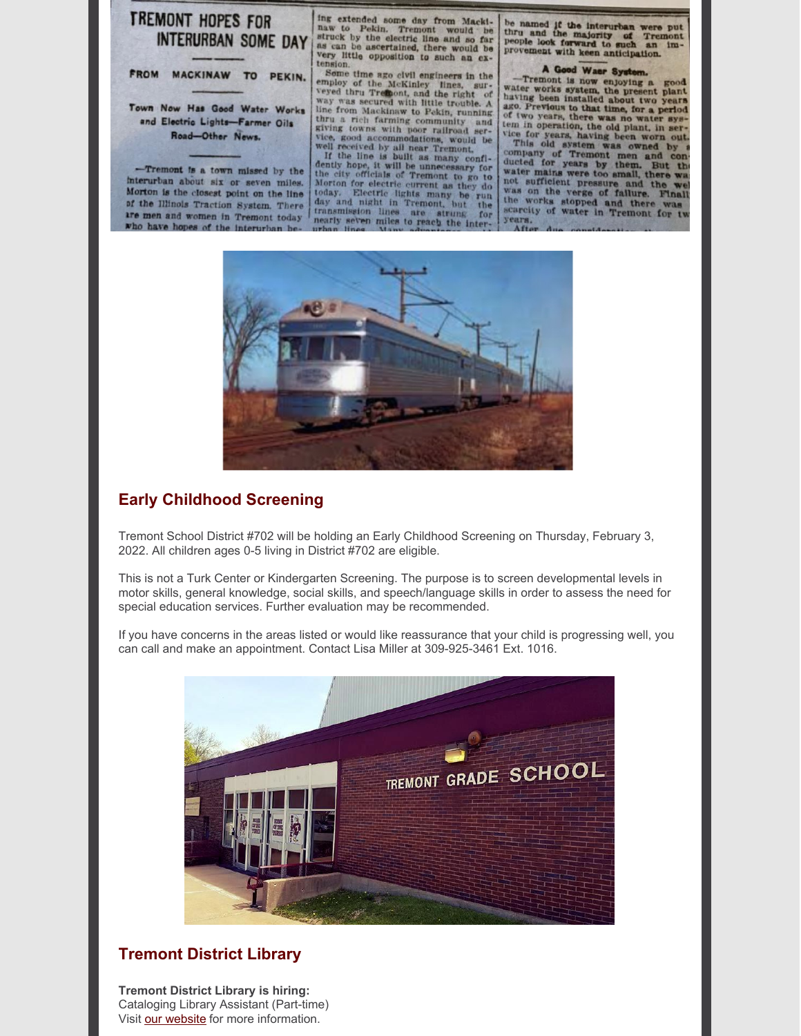

interurban about six or seven miles. Morton is the closest point on the line of the Illinois Traction System. There are men and women in Tremont today who have hopes of the interurban b

ing extended some day from Mackiing extended some day from Mackistaw to Pekin. Tremont would be struck by the electric line and so far as can be ascertained, there would be very little opposition to such an ex-

tension.<br>
Some time ago civil engineers in the employ of the McKinley lines, sur-<br>
even thru Trefloot, and the right of<br>
veyed thru Trefloot, and the right of<br>
way was secured with little trouble. A<br>
line from MacKinaw to

today. Electric lights many be run do day and night in Tremont, but the transmission lines are strung for nearly seven miles to reach the inter-

be named if the interurban were put<br>thru and the majority of Tremont<br>people look forward to such an im-<br>provement with keen anticipation.

#### A Good Waer Syste

A Good Waer System.<br>
-Tremont is now enjoying a good water works system, the present plant having been installed about two years<br>
ago. Previous to that time, for a period of two years, there was no water system of two pear

of two years, there was no water system in operation, the old plant, in service for years, having been worn out.<br>This old system was owned by a company of Tremont men and conducted for years by them. But the water mains we years.



# **Early Childhood Screening**

Tremont School District #702 will be holding an Early Childhood Screening on Thursday, February 3, 2022. All children ages 0-5 living in District #702 are eligible.

This is not a Turk Center or Kindergarten Screening. The purpose is to screen developmental levels in motor skills, general knowledge, social skills, and speech/language skills in order to assess the need for special education services. Further evaluation may be recommended.

If you have concerns in the areas listed or would like reassurance that your child is progressing well, you can call and make an appointment. Contact Lisa Miller at 309-925-3461 Ext. 1016.



### **Tremont District Library**

**Tremont District Library is hiring:** Cataloging Library Assistant (Part-time) Visit our [website](https://tremontlibrary.com/hiring/) for more information.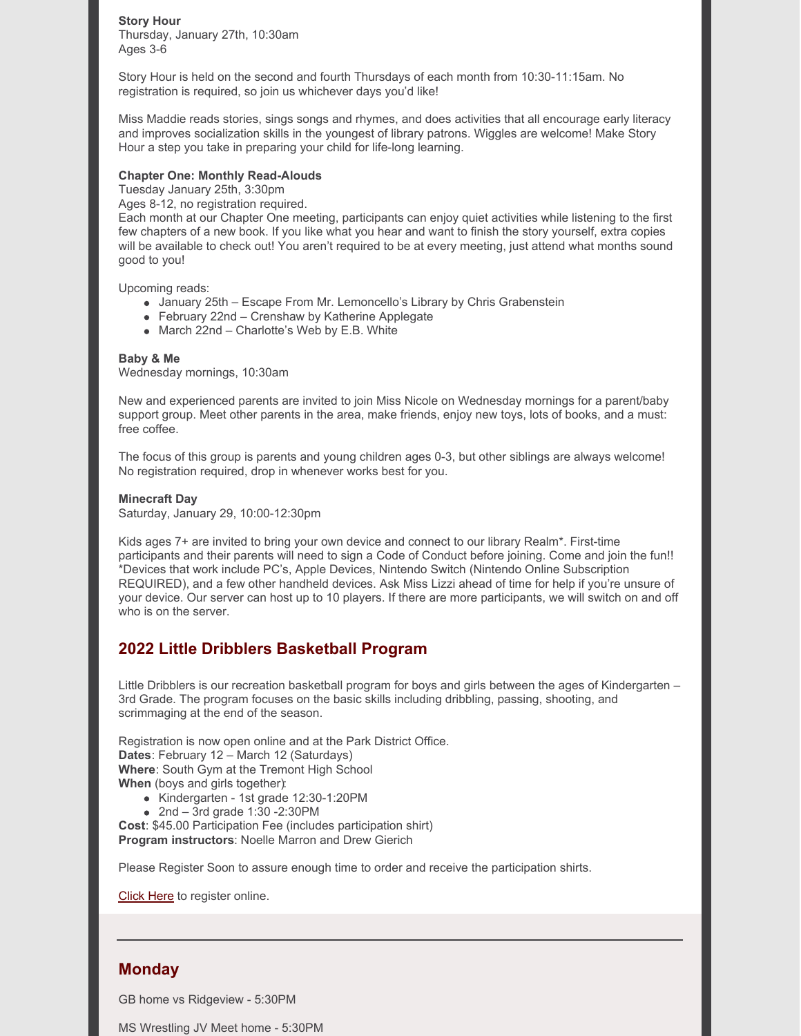#### **Story Hour**

Thursday, January 27th, 10:30am Ages 3-6

Story Hour is held on the second and fourth Thursdays of each month from 10:30-11:15am. No registration is required, so join us whichever days you'd like!

Miss Maddie reads stories, sings songs and rhymes, and does activities that all encourage early literacy and improves socialization skills in the youngest of library patrons. Wiggles are welcome! Make Story Hour a step you take in preparing your child for life-long learning.

#### **Chapter One: Monthly Read-Alouds**

Tuesday January 25th, 3:30pm

Ages 8-12, no registration required.

Each month at our Chapter One meeting, participants can enjoy quiet activities while listening to the first few chapters of a new book. If you like what you hear and want to finish the story yourself, extra copies will be available to check out! You aren't required to be at every meeting, just attend what months sound good to you!

Upcoming reads:

- January 25th Escape From Mr. Lemoncello's Library by Chris Grabenstein
- February 22nd Crenshaw by Katherine Applegate
- March 22nd Charlotte's Web by E.B. White

#### **Baby & Me**

Wednesday mornings, 10:30am

New and experienced parents are invited to join Miss Nicole on Wednesday mornings for a parent/baby support group. Meet other parents in the area, make friends, enjoy new toys, lots of books, and a must: free coffee.

The focus of this group is parents and young children ages 0-3, but other siblings are always welcome! No registration required, drop in whenever works best for you.

#### **Minecraft Day**

Saturday, January 29, 10:00-12:30pm

Kids ages 7+ are invited to bring your own device and connect to our library Realm<sup>\*</sup>. First-time participants and their parents will need to sign a Code of Conduct before joining. Come and join the fun!! \*Devices that work include PC's, Apple Devices, Nintendo Switch (Nintendo Online Subscription REQUIRED), and a few other handheld devices. Ask Miss Lizzi ahead of time for help if you're unsure of your device. Our server can host up to 10 players. If there are more participants, we will switch on and off who is on the server.

### **2022 Little Dribblers Basketball Program**

Little Dribblers is our recreation basketball program for boys and girls between the ages of Kindergarten – 3rd Grade. The program focuses on the basic skills including dribbling, passing, shooting, and scrimmaging at the end of the season.

Registration is now open online and at the Park District Office. **Dates**: February 12 – March 12 (Saturdays) **Where**: South Gym at the Tremont High School **When** (boys and girls together):

- Kindergarten 1st grade 12:30-1:20PM
- 2nd  $-$  3rd grade 1:30 -2:30 PM

**Cost**: \$45.00 Participation Fee (includes participation shirt) **Program instructors**: Noelle Marron and Drew Gierich

Please Register Soon to assure enough time to order and receive the participation shirts.

[Click](https://tremontpark.recdesk.com/Community/Program/Detail?programId=1039) Here to register online.

### **Monday**

GB home vs Ridgeview - 5:30PM

MS Wrestling JV Meet home - 5:30PM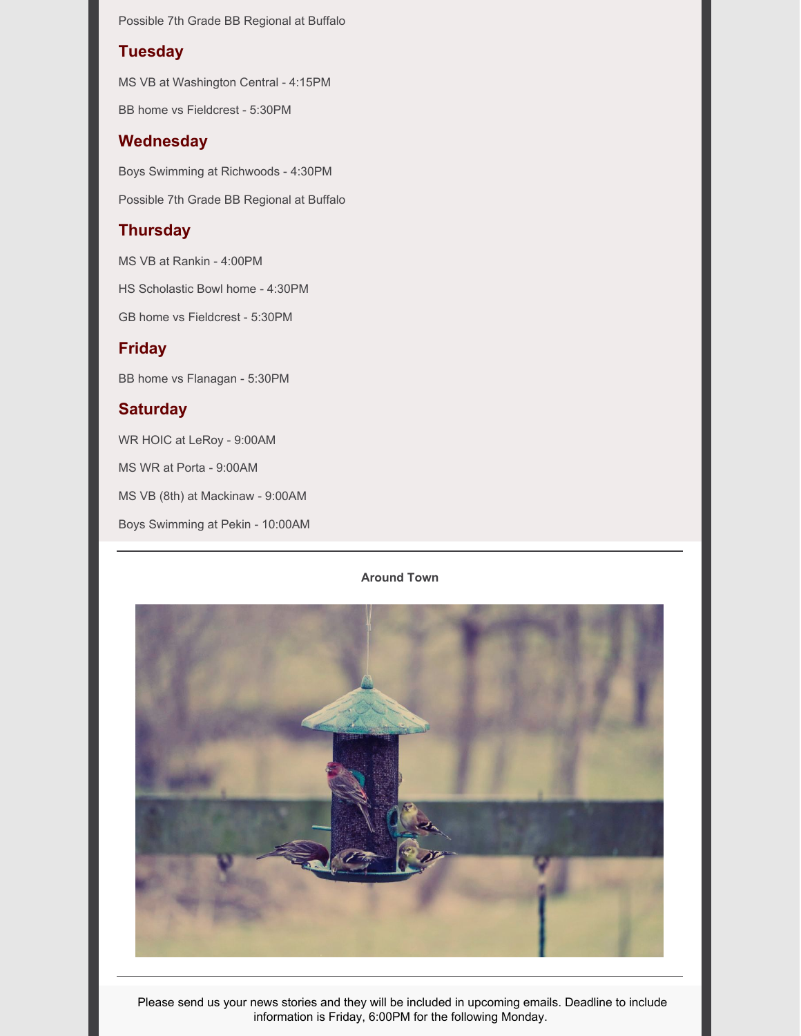Possible 7th Grade BB Regional at Buffalo

### **Tuesday**

MS VB at Washington Central - 4:15PM

BB home vs Fieldcrest - 5:30PM

### **Wednesday**

Boys Swimming at Richwoods - 4:30PM

Possible 7th Grade BB Regional at Buffalo

# **Thursday**

MS VB at Rankin - 4:00PM

HS Scholastic Bowl home - 4:30PM

GB home vs Fieldcrest - 5:30PM

# **Friday**

BB home vs Flanagan - 5:30PM

# **Saturday**

WR HOIC at LeRoy - 9:00AM

MS WR at Porta - 9:00AM

MS VB (8th) at Mackinaw - 9:00AM

Boys Swimming at Pekin - 10:00AM

### **Around Town**



Please send us your news stories and they will be included in upcoming emails. Deadline to include information is Friday, 6:00PM for the following Monday.